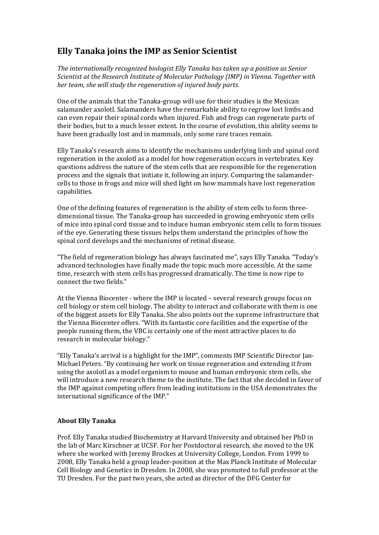## **Elly Tanaka joins the IMP as Senior Scientist**

*The internationally recognized biologist Elly Tanaka has taken up a position as Senior Scientist at the Research Institute of Molecular Pathology (IMP) in Vienna. Together with her team, she will study the regeneration of injured body parts.* 

One of the animals that the Tanaka-group will use for their studies is the Mexican salamander axolotl. Salamanders have the remarkable ability to regrow lost limbs and can even repair their spinal cords when injured. Fish and frogs can regenerate parts of their bodies, but to a much lesser extent. In the course of evolution, this ability seems to have been gradually lost and in mammals, only some rare traces remain.

Elly Tanaka's research aims to identify the mechanisms underlying limb and spinal cord regeneration in the axolotl as a model for how regeneration occurs in vertebrates. Key questions address the nature of the stem cells that are responsible for the regeneration process and the signals that initiate it, following an injury. Comparing the salamandercells to those in frogs and mice will shed light on how mammals have lost regeneration capabilities. 

One of the defining features of regeneration is the ability of stem cells to form threedimensional tissue. The Tanaka-group has succeeded in growing embryonic stem cells of mice into spinal cord tissue and to induce human embryonic stem cells to form tissues of the eye. Generating these tissues helps them understand the principles of how the spinal cord develops and the mechanisms of retinal disease.

"The field of regeneration biology has always fascinated me", says Elly Tanaka. "Today's advanced technologies have finally made the topic much more accessible. At the same time, research with stem cells has progressed dramatically. The time is now ripe to connect the two fields."

At the Vienna Biocenter - where the IMP is located – several research groups focus on cell biology or stem cell biology. The ability to interact and collaborate with them is one of the biggest assets for Elly Tanaka. She also points out the supreme infrastructure that the Vienna Biocenter offers. "With its fantastic core facilities and the expertise of the people running them, the VBC is certainly one of the most attractive places to do research in molecular biology."

"Elly Tanaka's arrival is a highlight for the IMP", comments IMP Scientific Director Jan-Michael Peters. "By continuing her work on tissue regeneration and extending it from using the axolotl as a model organism to mouse and human embryonic stem cells, she will introduce a new research theme to the institute. The fact that she decided in favor of the IMP against competing offers from leading institutions in the USA demonstrates the international significance of the IMP."

## **About Elly Tanaka**

Prof. Elly Tanaka studied Biochemistry at Harvard University and obtained her PhD in the lab of Marc Kirschner at UCSF. For her Postdoctoral research, she moved to the UK where she worked with Jeremy Brockes at University College, London. From 1999 to 2008, Elly Tanaka held a group leader-position at the Max Planck Institute of Molecular Cell Biology and Genetics in Dresden. In 2008, she was promoted to full professor at the TU Dresden. For the past two years, she acted as director of the DFG Center for